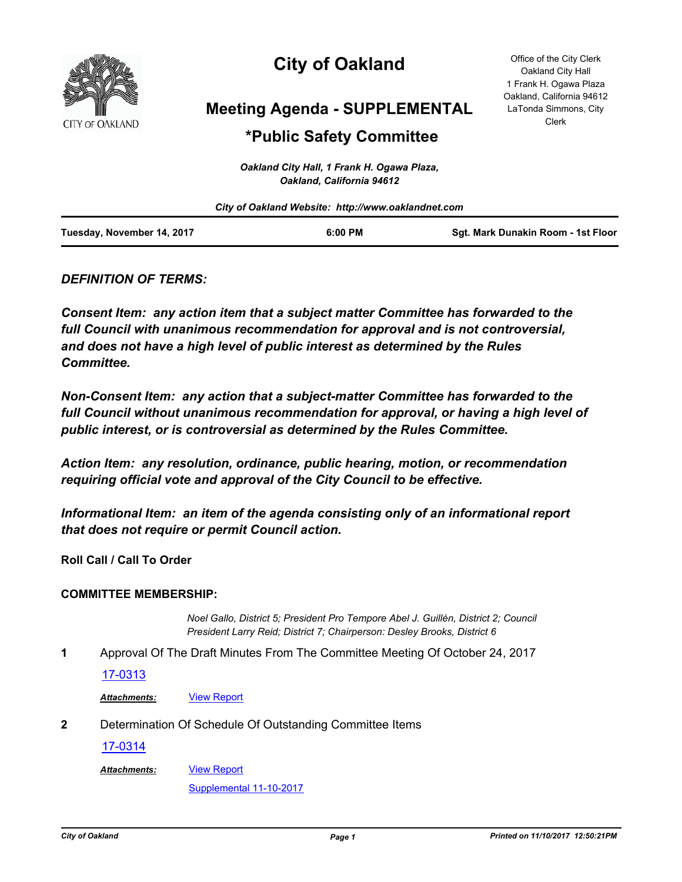

# **City of Oakland**

**Meeting Agenda - SUPPLEMENTAL**

## **\*Public Safety Committee**

*Oakland City Hall, 1 Frank H. Ogawa Plaza, Oakland, California 94612*

|                            | City of Oakland Website: http://www.oaklandnet.com |                                    |
|----------------------------|----------------------------------------------------|------------------------------------|
| Tuesday, November 14, 2017 | $6:00$ PM                                          | Sqt. Mark Dunakin Room - 1st Floor |

### *DEFINITION OF TERMS:*

*Consent Item: any action item that a subject matter Committee has forwarded to the full Council with unanimous recommendation for approval and is not controversial, and does not have a high level of public interest as determined by the Rules Committee.*

*Non-Consent Item: any action that a subject-matter Committee has forwarded to the*  full Council without unanimous recommendation for approval, or having a high level of *public interest, or is controversial as determined by the Rules Committee.*

*Action Item: any resolution, ordinance, public hearing, motion, or recommendation requiring official vote and approval of the City Council to be effective.*

*Informational Item: an item of the agenda consisting only of an informational report that does not require or permit Council action.*

**Roll Call / Call To Order**

#### **COMMITTEE MEMBERSHIP:**

*Noel Gallo, District 5; President Pro Tempore Abel J. Guillén, District 2; Council President Larry Reid; District 7; Chairperson: Desley Brooks, District 6*

**1** Approval Of The Draft Minutes From The Committee Meeting Of October 24, 2017

#### [17-0313](http://oakland.legistar.com/gateway.aspx?m=l&id=/matter.aspx?key=28260)

*Attachments:* [View Report](http://oakland.legistar.com/gateway.aspx?M=F&ID=e1a6cbcb-e2d6-4b97-8639-21d01cc91e0e.pdf)

**2** Determination Of Schedule Of Outstanding Committee Items

[17-0314](http://oakland.legistar.com/gateway.aspx?m=l&id=/matter.aspx?key=28261)

[View Report](http://oakland.legistar.com/gateway.aspx?M=F&ID=31b645a1-05c5-495f-a2cf-0af6f9766db9.pdf) *Attachments:*

[Supplemental 11-10-2017](http://oakland.legistar.com/gateway.aspx?M=F&ID=795c4815-01a8-43ca-b537-a7efbed4ad14.pdf)

Office of the City Clerk Oakland City Hall 1 Frank H. Ogawa Plaza Oakland, California 94612 LaTonda Simmons, City Clerk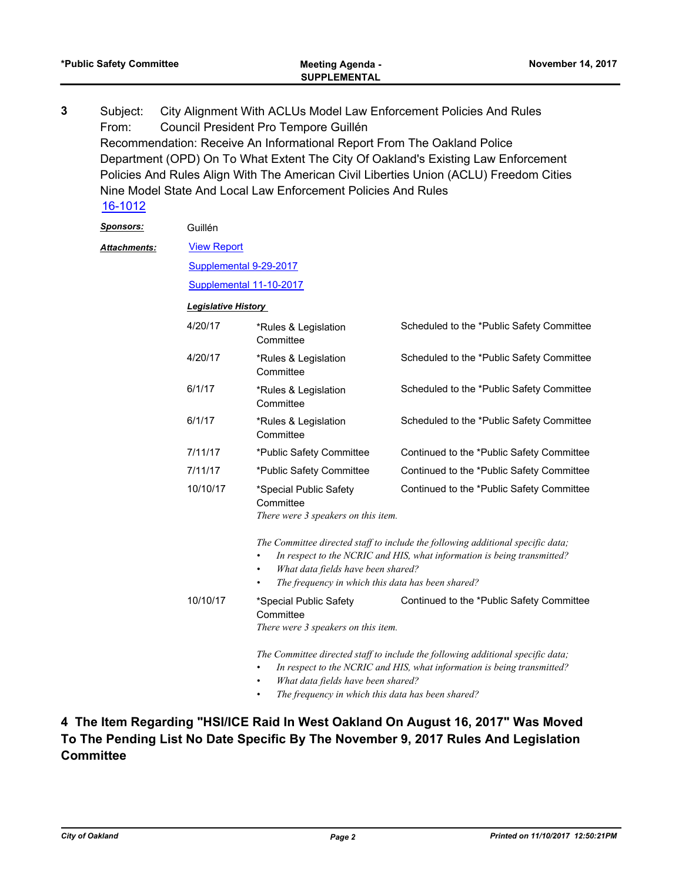| Subject:<br>From: |          | City Alignment With ACLUs Model Law Enforcement Policies And Rules<br>Council President Pro Tempore Guillén                                                                                                                                                                                  |                                                                                        |  |
|-------------------|----------|----------------------------------------------------------------------------------------------------------------------------------------------------------------------------------------------------------------------------------------------------------------------------------------------|----------------------------------------------------------------------------------------|--|
|                   |          | Recommendation: Receive An Informational Report From The Oakland Police                                                                                                                                                                                                                      |                                                                                        |  |
|                   |          |                                                                                                                                                                                                                                                                                              | Department (OPD) On To What Extent The City Of Oakland's Existing Law Enforcement      |  |
|                   |          |                                                                                                                                                                                                                                                                                              | Policies And Rules Align With The American Civil Liberties Union (ACLU) Freedom Cities |  |
|                   |          | Nine Model State And Local Law Enforcement Policies And Rules                                                                                                                                                                                                                                |                                                                                        |  |
| 16-1012           |          |                                                                                                                                                                                                                                                                                              |                                                                                        |  |
| <u>Sponsors:</u>  | Guillén  |                                                                                                                                                                                                                                                                                              |                                                                                        |  |
| Attachments:      |          | <b>View Report</b>                                                                                                                                                                                                                                                                           |                                                                                        |  |
|                   |          | Supplemental 9-29-2017                                                                                                                                                                                                                                                                       |                                                                                        |  |
|                   |          | Supplemental 11-10-2017                                                                                                                                                                                                                                                                      |                                                                                        |  |
|                   |          | <b>Legislative History</b>                                                                                                                                                                                                                                                                   |                                                                                        |  |
|                   | 4/20/17  | *Rules & Legislation<br>Committee                                                                                                                                                                                                                                                            | Scheduled to the *Public Safety Committee                                              |  |
|                   | 4/20/17  | *Rules & Legislation<br>Committee                                                                                                                                                                                                                                                            | Scheduled to the *Public Safety Committee                                              |  |
|                   | 6/1/17   | *Rules & Legislation<br>Committee                                                                                                                                                                                                                                                            | Scheduled to the *Public Safety Committee                                              |  |
|                   | 6/1/17   | *Rules & Legislation<br>Committee                                                                                                                                                                                                                                                            | Scheduled to the *Public Safety Committee                                              |  |
|                   | 7/11/17  | *Public Safety Committee                                                                                                                                                                                                                                                                     | Continued to the *Public Safety Committee                                              |  |
|                   | 7/11/17  | *Public Safety Committee                                                                                                                                                                                                                                                                     | Continued to the *Public Safety Committee                                              |  |
|                   | 10/10/17 | *Special Public Safety<br>Committee<br>There were 3 speakers on this item.                                                                                                                                                                                                                   | Continued to the *Public Safety Committee                                              |  |
|                   |          | The Committee directed staff to include the following additional specific data;<br>In respect to the NCRIC and HIS, what information is being transmitted?<br>What data fields have been shared?<br>The frequency in which this data has been shared?                                        |                                                                                        |  |
|                   | 10/10/17 | *Special Public Safety<br>Committee<br>There were 3 speakers on this item.                                                                                                                                                                                                                   | Continued to the *Public Safety Committee                                              |  |
|                   |          | The Committee directed staff to include the following additional specific data;<br>In respect to the NCRIC and HIS, what information is being transmitted?<br>$\bullet$<br>What data fields have been shared?<br>$\bullet$<br>The frequency in which this data has been shared?<br>$\bullet$ |                                                                                        |  |

**\*Public Safety Committee Meeting Agenda - November 14, 2017**

### **4 The Item Regarding "HSI/ICE Raid In West Oakland On August 16, 2017" Was Moved To The Pending List No Date Specific By The November 9, 2017 Rules And Legislation Committee**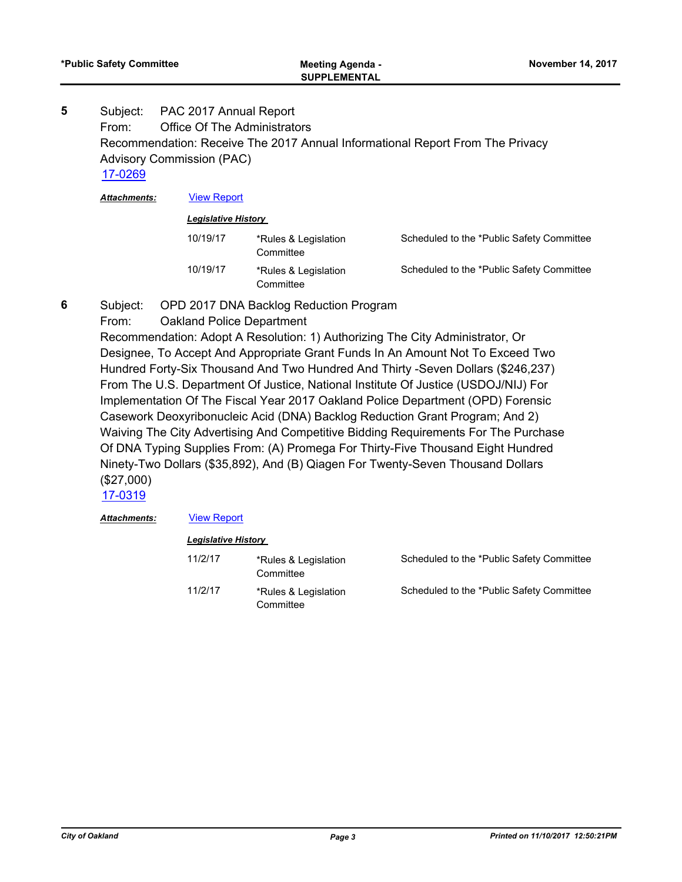Subject: PAC 2017 Annual Report From: Office Of The Administrators Recommendation: Receive The 2017 Annual Informational Report From The Privacy Advisory Commission (PAC) **5**

[17-0269](http://oakland.legistar.com/gateway.aspx?m=l&id=/matter.aspx?key=28217)

*Attachments:* [View Report](http://oakland.legistar.com/gateway.aspx?M=F&ID=c44e3a08-2d99-407f-9579-209e987ac071.pdf)

#### *Legislative History*

| 10/19/17 | *Rules & Legislation<br>Committee | Scheduled to the *Public Safety Committee |
|----------|-----------------------------------|-------------------------------------------|
| 10/19/17 | *Rules & Legislation<br>Committee | Scheduled to the *Public Safety Committee |

- Subject: OPD 2017 DNA Backlog Reduction Program **6**
	- From: Oakland Police Department

Recommendation: Adopt A Resolution: 1) Authorizing The City Administrator, Or Designee, To Accept And Appropriate Grant Funds In An Amount Not To Exceed Two Hundred Forty-Six Thousand And Two Hundred And Thirty -Seven Dollars (\$246,237) From The U.S. Department Of Justice, National Institute Of Justice (USDOJ/NIJ) For Implementation Of The Fiscal Year 2017 Oakland Police Department (OPD) Forensic Casework Deoxyribonucleic Acid (DNA) Backlog Reduction Grant Program; And 2) Waiving The City Advertising And Competitive Bidding Requirements For The Purchase Of DNA Typing Supplies From: (A) Promega For Thirty-Five Thousand Eight Hundred Ninety-Two Dollars (\$35,892), And (B) Qiagen For Twenty-Seven Thousand Dollars (\$27,000)

[17-0319](http://oakland.legistar.com/gateway.aspx?m=l&id=/matter.aspx?key=28266)

#### *Attachments:* [View Report](http://oakland.legistar.com/gateway.aspx?M=F&ID=497c05de-e4d0-4050-9e0c-e1e3df8d3453.pdf)

| <b>Legislative History</b> |                                   |                                           |
|----------------------------|-----------------------------------|-------------------------------------------|
| 11/2/17                    | *Rules & Legislation<br>Committee | Scheduled to the *Public Safety Committee |
| 11/2/17                    | *Rules & Legislation<br>Committee | Scheduled to the *Public Safety Committee |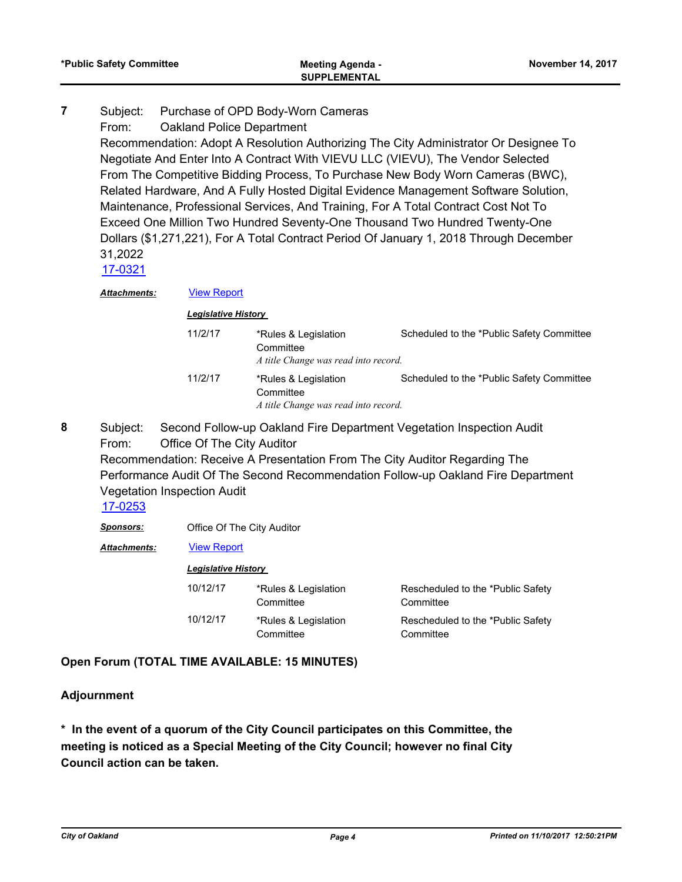#### Subject: Purchase of OPD Body-Worn Cameras **7**

From: Oakland Police Department

Recommendation: Adopt A Resolution Authorizing The City Administrator Or Designee To Negotiate And Enter Into A Contract With VIEVU LLC (VIEVU), The Vendor Selected From The Competitive Bidding Process, To Purchase New Body Worn Cameras (BWC), Related Hardware, And A Fully Hosted Digital Evidence Management Software Solution, Maintenance, Professional Services, And Training, For A Total Contract Cost Not To Exceed One Million Two Hundred Seventy-One Thousand Two Hundred Twenty-One Dollars (\$1,271,221), For A Total Contract Period Of January 1, 2018 Through December 31,2022

[17-0321](http://oakland.legistar.com/gateway.aspx?m=l&id=/matter.aspx?key=28268)

*Attachments:* [View Report](http://oakland.legistar.com/gateway.aspx?M=F&ID=4510a165-7f4c-4298-ba7c-e6c7e65ecd53.pdf)

| <b>Legislative History</b> |                                                                           |                                           |
|----------------------------|---------------------------------------------------------------------------|-------------------------------------------|
| 11/2/17                    | *Rules & Legislation<br>Committee<br>A title Change was read into record. | Scheduled to the *Public Safety Committee |
| 11/2/17                    | *Rules & Legislation<br>Committee<br>A title Change was read into record. | Scheduled to the *Public Safety Committee |

Subject: Second Follow-up Oakland Fire Department Vegetation Inspection Audit From: Office Of The City Auditor Recommendation: Receive A Presentation From The City Auditor Regarding The **8**

Performance Audit Of The Second Recommendation Follow-up Oakland Fire Department Vegetation Inspection Audit

#### [17-0253](http://oakland.legistar.com/gateway.aspx?m=l&id=/matter.aspx?key=28201)

*Sponsors:* Office Of The City Auditor

*Attachments:* [View Report](http://oakland.legistar.com/gateway.aspx?M=F&ID=549edee7-e6f4-487c-a31c-5f42e04b33c8.pdf)

#### *Legislative History*

| 10/12/17 | *Rules & Legislation<br>Committee | Rescheduled to the *Public Safety<br>Committee |
|----------|-----------------------------------|------------------------------------------------|
| 10/12/17 | *Rules & Legislation<br>Committee | Rescheduled to the *Public Safety<br>Committee |

#### **Open Forum (TOTAL TIME AVAILABLE: 15 MINUTES)**

#### **Adjournment**

**\* In the event of a quorum of the City Council participates on this Committee, the meeting is noticed as a Special Meeting of the City Council; however no final City Council action can be taken.**